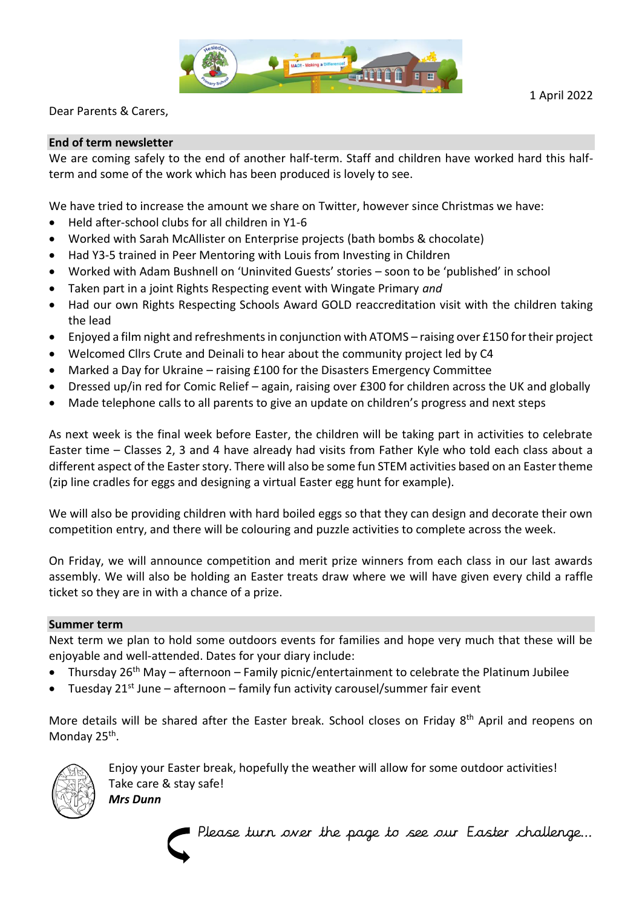

Dear Parents & Carers,

## **End of term newsletter**

We are coming safely to the end of another half-term. Staff and children have worked hard this halfterm and some of the work which has been produced is lovely to see.

We have tried to increase the amount we share on Twitter, however since Christmas we have:

- Held after-school clubs for all children in Y1-6
- Worked with Sarah McAllister on Enterprise projects (bath bombs & chocolate)
- Had Y3-5 trained in Peer Mentoring with Louis from Investing in Children
- Worked with Adam Bushnell on 'Uninvited Guests' stories soon to be 'published' in school
- Taken part in a joint Rights Respecting event with Wingate Primary *and*
- Had our own Rights Respecting Schools Award GOLD reaccreditation visit with the children taking the lead
- Enjoyed a film night and refreshments in conjunction with ATOMS raising over £150 for their project
- Welcomed Cllrs Crute and Deinali to hear about the community project led by C4
- Marked a Day for Ukraine raising £100 for the Disasters Emergency Committee
- Dressed up/in red for Comic Relief again, raising over £300 for children across the UK and globally
- Made telephone calls to all parents to give an update on children's progress and next steps

As next week is the final week before Easter, the children will be taking part in activities to celebrate Easter time – Classes 2, 3 and 4 have already had visits from Father Kyle who told each class about a different aspect of the Easter story. There will also be some fun STEM activities based on an Easter theme (zip line cradles for eggs and designing a virtual Easter egg hunt for example).

We will also be providing children with hard boiled eggs so that they can design and decorate their own competition entry, and there will be colouring and puzzle activities to complete across the week.

On Friday, we will announce competition and merit prize winners from each class in our last awards assembly. We will also be holding an Easter treats draw where we will have given every child a raffle ticket so they are in with a chance of a prize.

## **Summer term**

Next term we plan to hold some outdoors events for families and hope very much that these will be enjoyable and well-attended. Dates for your diary include:

- Thursday  $26<sup>th</sup>$  May afternoon Family picnic/entertainment to celebrate the Platinum Jubilee
- Tuesday  $21^{st}$  June afternoon family fun activity carousel/summer fair event

More details will be shared after the Easter break. School closes on Friday 8<sup>th</sup> April and reopens on Monday 25<sup>th</sup>.



Enjoy your Easter break, hopefully the weather will allow for some outdoor activities! Take care & stay safe!

*Mrs Dunn*



Please turn over the page to see our Easter challenge…